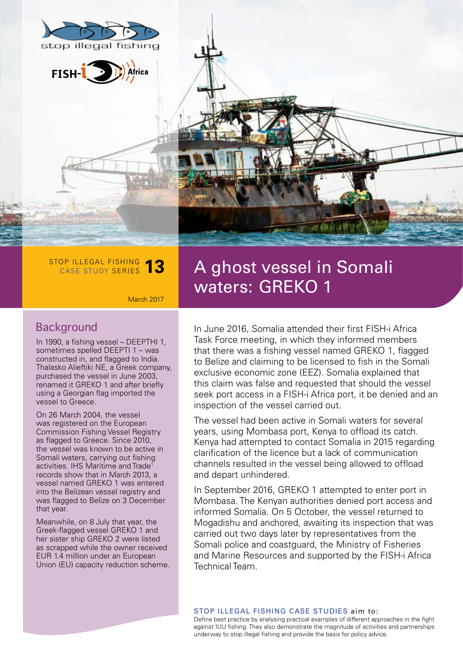





#### **Background**

In 1990, a fishing vessel – DEEPTHI 1, sometimes spelled DEEPTI 1 – was constructed in, and flagged to India. Thalasko Alieftiki NE, a Greek company, purchased the vessel in June 2003, renamed it GREKO 1 and after briefly using a Georgian flag imported the vessel to Greece.

STOP ILLEGAL FISHING

CASE STUDY SERIES **13**

March 2017

On 26 March 2004, the vessel was registered on the European Commission Fishing Vessel Registry as flagged to Greece. Since 2010, the vessel was known to be active in Somali waters, carrying out fishing activities. IHS Maritime and Trade<sup>1</sup> records show that in March 2013, a vessel named GREKO 1 was entered into the Belizean vessel registry and was flagged to Belize on 3 December that year.

Meanwhile, on 8 July that year, the Greek-flagged vessel GREKO 1 and her sister ship GREKO 2 were listed as scrapped while the owner received EUR 1.4 million under an European Union (EU) capacity reduction scheme.

In June 2016, Somalia attended their first FISH-i Africa Task Force meeting, in which they informed members that there was a fishing vessel named GREKO 1, flagged to Belize and claiming to be licensed to fish in the Somali exclusive economic zone (EEZ). Somalia explained that this claim was false and requested that should the vessel seek port access in a FISH-i Africa port, it be denied and an inspection of the vessel carried out.

The vessel had been active in Somali waters for several years, using Mombasa port, Kenya to offload its catch. Kenya had attempted to contact Somalia in 2015 regarding clarification of the licence but a lack of communication channels resulted in the vessel being allowed to offload and depart unhindered.

In September 2016, GREKO 1 attempted to enter port in Mombasa. The Kenyan authorities denied port access and informed Somalia. On 5 October, the vessel returned to Mogadishu and anchored, awaiting its inspection that was carried out two days later by representatives from the Somali police and coastguard, the Ministry of Fisheries and Marine Resources and supported by the FISH-i Africa Technical Team.

#### STOP ILLEGAL FISHING CASE STUDIES aim to:

Define best practice by analysing practical examples of different approaches in the fight against IUU fishing. They also demonstrate the magnitude of activities and partnerships underway to stop illegal fishing and provide the basis for policy advice.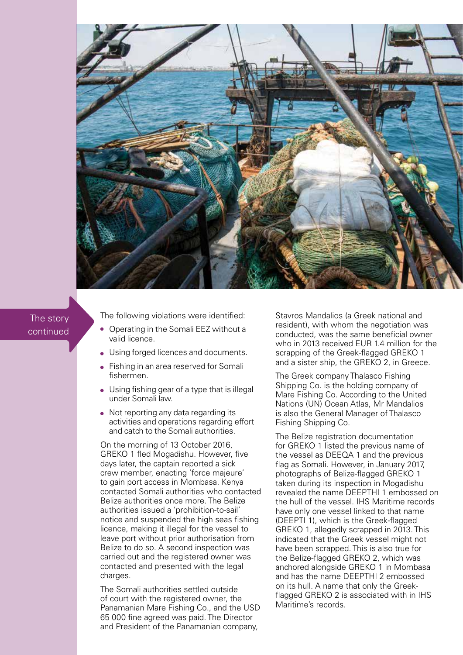

## The story continued

The following violations were identified:

- $\bullet$ Operating in the Somali EEZ without a valid licence.
- Using forged licences and documents.
- **•** Fishing in an area reserved for Somali fishermen.
- Using fishing gear of a type that is illegal under Somali law.
- Not reporting any data regarding its activities and operations regarding effort and catch to the Somali authorities.

On the morning of 13 October 2016, GREKO 1 fled Mogadishu. However, five days later, the captain reported a sick crew member, enacting 'force majeure' to gain port access in Mombasa. Kenya contacted Somali authorities who contacted Belize authorities once more. The Belize authorities issued a 'prohibition-to-sail' notice and suspended the high seas fishing licence, making it illegal for the vessel to leave port without prior authorisation from Belize to do so. A second inspection was carried out and the registered owner was contacted and presented with the legal charges.

The Somali authorities settled outside of court with the registered owner, the Panamanian Mare Fishing Co., and the USD 65 000 fine agreed was paid. The Director and President of the Panamanian company,

Stavros Mandalios (a Greek national and resident), with whom the negotiation was conducted, was the same beneficial owner who in 2013 received EUR 1.4 million for the scrapping of the Greek-flagged GREKO 1 and a sister ship, the GREKO 2, in Greece.

The Greek company Thalasco Fishing Shipping Co. is the holding company of Mare Fishing Co. According to the United Nations (UN) Ocean Atlas, Mr Mandalios is also the General Manager of Thalasco Fishing Shipping Co.

The Belize registration documentation for GREKO 1 listed the previous name of the vessel as DEEQA 1 and the previous flag as Somali. However, in January 2017, photographs of Belize-flagged GREKO 1 taken during its inspection in Mogadishu revealed the name DEEPTHI 1 embossed on the hull of the vessel. IHS Maritime records have only one vessel linked to that name (DEEPTI 1), which is the Greek-flagged GREKO 1, allegedly scrapped in 2013. This indicated that the Greek vessel might not have been scrapped. This is also true for the Belize-flagged GREKO 2, which was anchored alongside GREKO 1 in Mombasa and has the name DEEPTHI 2 embossed on its hull. A name that only the Greekflagged GREKO 2 is associated with in IHS Maritime's records.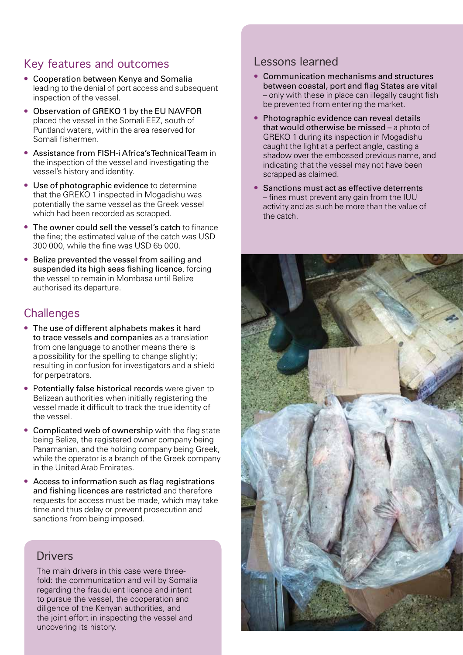### Key features and outcomes

- Cooperation between Kenya and Somalia leading to the denial of port access and subsequent inspection of the vessel.
- $\bullet$ Observation of GREKO 1 by the EU NAVFOR placed the vessel in the Somali EEZ, south of Puntland waters, within the area reserved for Somali fishermen.
- Assistance from FISH-i Africa's Technical Team in the inspection of the vessel and investigating the vessel's history and identity.
- Use of photographic evidence to determine that the GREKO 1 inspected in Mogadishu was potentially the same vessel as the Greek vessel which had been recorded as scrapped.
- The owner could sell the vessel's catch to finance the fine; the estimated value of the catch was USD 300 000, while the fine was USD 65 000.
- Belize prevented the vessel from sailing and  $\bullet$ suspended its high seas fishing licence, forcing the vessel to remain in Mombasa until Belize authorised its departure.

## **Challenges**

- The use of different alphabets makes it hard to trace vessels and companies as a translation from one language to another means there is a possibility for the spelling to change slightly; resulting in confusion for investigators and a shield for perpetrators.
- Potentially false historical records were given to Belizean authorities when initially registering the vessel made it difficult to track the true identity of the vessel.
- Complicated web of ownership with the flag state being Belize, the registered owner company being Panamanian, and the holding company being Greek, while the operator is a branch of the Greek company in the United Arab Emirates.
- Access to information such as flag registrations and fishing licences are restricted and therefore requests for access must be made, which may take time and thus delay or prevent prosecution and sanctions from being imposed.

# Drivers

The main drivers in this case were threefold: the communication and will by Somalia regarding the fraudulent licence and intent to pursue the vessel, the cooperation and diligence of the Kenyan authorities, and the joint effort in inspecting the vessel and uncovering its history.

## Lessons learned

- Communication mechanisms and structures between coastal, port and flag States are vital – only with these in place can illegally caught fish be prevented from entering the market.
- Photographic evidence can reveal details that would otherwise be missed – a photo of GREKO 1 during its inspection in Mogadishu caught the light at a perfect angle, casting a shadow over the embossed previous name, and indicating that the vessel may not have been scrapped as claimed.
- Sanctions must act as effective deterrents – fines must prevent any gain from the IUU activity and as such be more than the value of the catch.